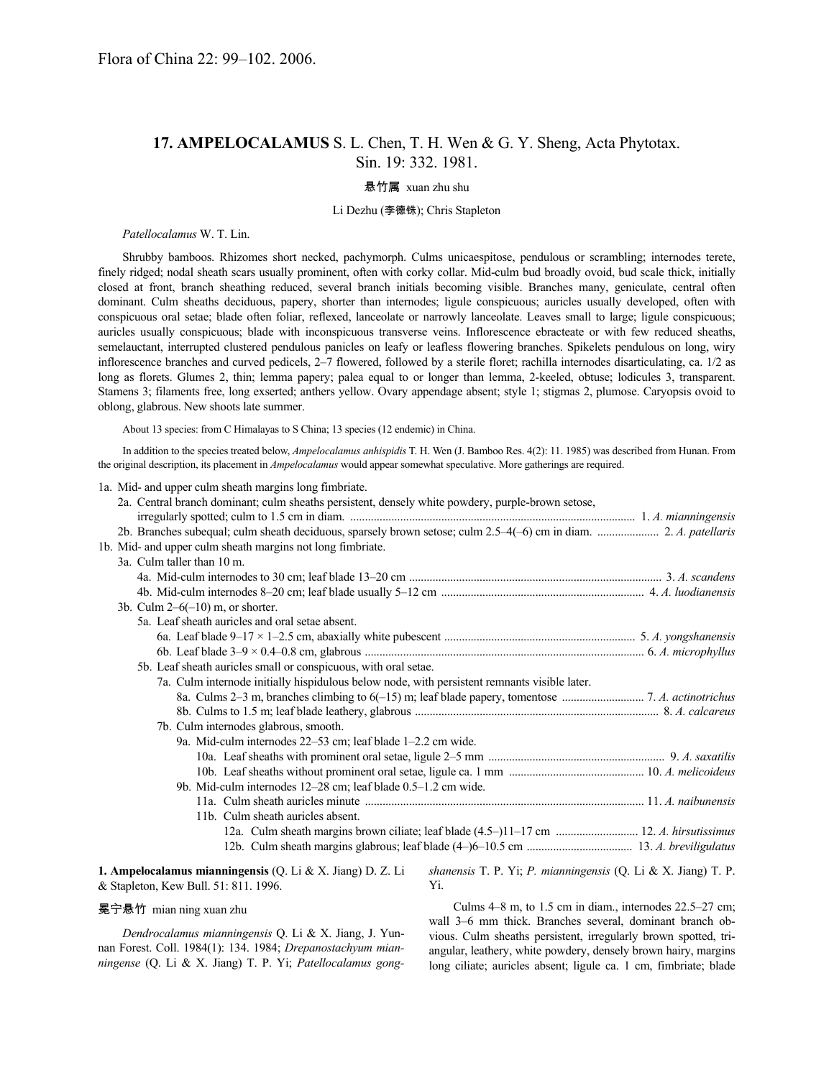# **17. AMPELOCALAMUS** S. L. Chen, T. H. Wen & G. Y. Sheng, Acta Phytotax. Sin. 19: 332. 1981.

### 悬竹属 xuan zhu shu

### Li Dezhu (李德铢); Chris Stapleton

*Patellocalamus* W. T. Lin.

Shrubby bamboos. Rhizomes short necked, pachymorph. Culms unicaespitose, pendulous or scrambling; internodes terete, finely ridged; nodal sheath scars usually prominent, often with corky collar. Mid-culm bud broadly ovoid, bud scale thick, initially closed at front, branch sheathing reduced, several branch initials becoming visible. Branches many, geniculate, central often dominant. Culm sheaths deciduous, papery, shorter than internodes; ligule conspicuous; auricles usually developed, often with conspicuous oral setae; blade often foliar, reflexed, lanceolate or narrowly lanceolate. Leaves small to large; ligule conspicuous; auricles usually conspicuous; blade with inconspicuous transverse veins. Inflorescence ebracteate or with few reduced sheaths, semelauctant, interrupted clustered pendulous panicles on leafy or leafless flowering branches. Spikelets pendulous on long, wiry inflorescence branches and curved pedicels, 2–7 flowered, followed by a sterile floret; rachilla internodes disarticulating, ca. 1/2 as long as florets. Glumes 2, thin; lemma papery; palea equal to or longer than lemma, 2-keeled, obtuse; lodicules 3, transparent. Stamens 3; filaments free, long exserted; anthers yellow. Ovary appendage absent; style 1; stigmas 2, plumose. Caryopsis ovoid to oblong, glabrous. New shoots late summer.

About 13 species: from C Himalayas to S China; 13 species (12 endemic) in China.

In addition to the species treated below, *Ampelocalamus anhispidis* T. H. Wen (J. Bamboo Res. 4(2): 11. 1985) was described from Hunan. From the original description, its placement in *Ampelocalamus* would appear somewhat speculative. More gatherings are required.

1a. Mid- and upper culm sheath margins long fimbriate.

| 2a. Central branch dominant; culm sheaths persistent, densely white powdery, purple-brown setose,<br>2b. Branches subequal; culm sheath deciduous, sparsely brown setose; culm 2.5-4(-6) cm in diam.  2. A. patellaris<br>1b. Mid- and upper culm sheath margins not long fimbriate. |  |
|--------------------------------------------------------------------------------------------------------------------------------------------------------------------------------------------------------------------------------------------------------------------------------------|--|
| 3a. Culm taller than 10 m.                                                                                                                                                                                                                                                           |  |
|                                                                                                                                                                                                                                                                                      |  |
|                                                                                                                                                                                                                                                                                      |  |
| 3b. Culm $2-6(-10)$ m, or shorter.                                                                                                                                                                                                                                                   |  |
| 5a. Leaf sheath auricles and oral setae absent.                                                                                                                                                                                                                                      |  |
|                                                                                                                                                                                                                                                                                      |  |
|                                                                                                                                                                                                                                                                                      |  |
| 5b. Leaf sheath auricles small or conspicuous, with oral setae.                                                                                                                                                                                                                      |  |
| 7a. Culm internode initially hispidulous below node, with persistent remnants visible later.                                                                                                                                                                                         |  |
|                                                                                                                                                                                                                                                                                      |  |
|                                                                                                                                                                                                                                                                                      |  |
| 7b. Culm internodes glabrous, smooth.                                                                                                                                                                                                                                                |  |
| 9a. Mid-culm internodes 22–53 cm; leaf blade 1–2.2 cm wide.                                                                                                                                                                                                                          |  |
|                                                                                                                                                                                                                                                                                      |  |
|                                                                                                                                                                                                                                                                                      |  |
| 9b. Mid-culm internodes 12–28 cm; leaf blade 0.5–1.2 cm wide.                                                                                                                                                                                                                        |  |
|                                                                                                                                                                                                                                                                                      |  |
| 11b. Culm sheath auricles absent.                                                                                                                                                                                                                                                    |  |
| 12a. Culm sheath margins brown ciliate; leaf blade (4.5–)11–17 cm  12. A. hirsutissimus                                                                                                                                                                                              |  |
|                                                                                                                                                                                                                                                                                      |  |
| 1. Ampelocalamus mianningensis (Q. Li & X. Jiang) D. Z. Li<br>shanensis T. P. Yi; P. mianningensis (Q. Li & X. Jiang) T. P.<br>& Stapleton, Kew Bull. 51: 811. 1996.<br>Yi.                                                                                                          |  |

#### 冕宁悬竹 mian ning xuan zhu

*Dendrocalamus mianningensis* Q. Li & X. Jiang, J. Yunnan Forest. Coll. 1984(1): 134. 1984; *Drepanostachyum mianningense* (Q. Li & X. Jiang) T. P. Yi; *Patellocalamus gong-*

Culms 4–8 m, to 1.5 cm in diam., internodes 22.5–27 cm; wall 3–6 mm thick. Branches several, dominant branch obvious. Culm sheaths persistent, irregularly brown spotted, triangular, leathery, white powdery, densely brown hairy, margins long ciliate; auricles absent; ligule ca. 1 cm, fimbriate; blade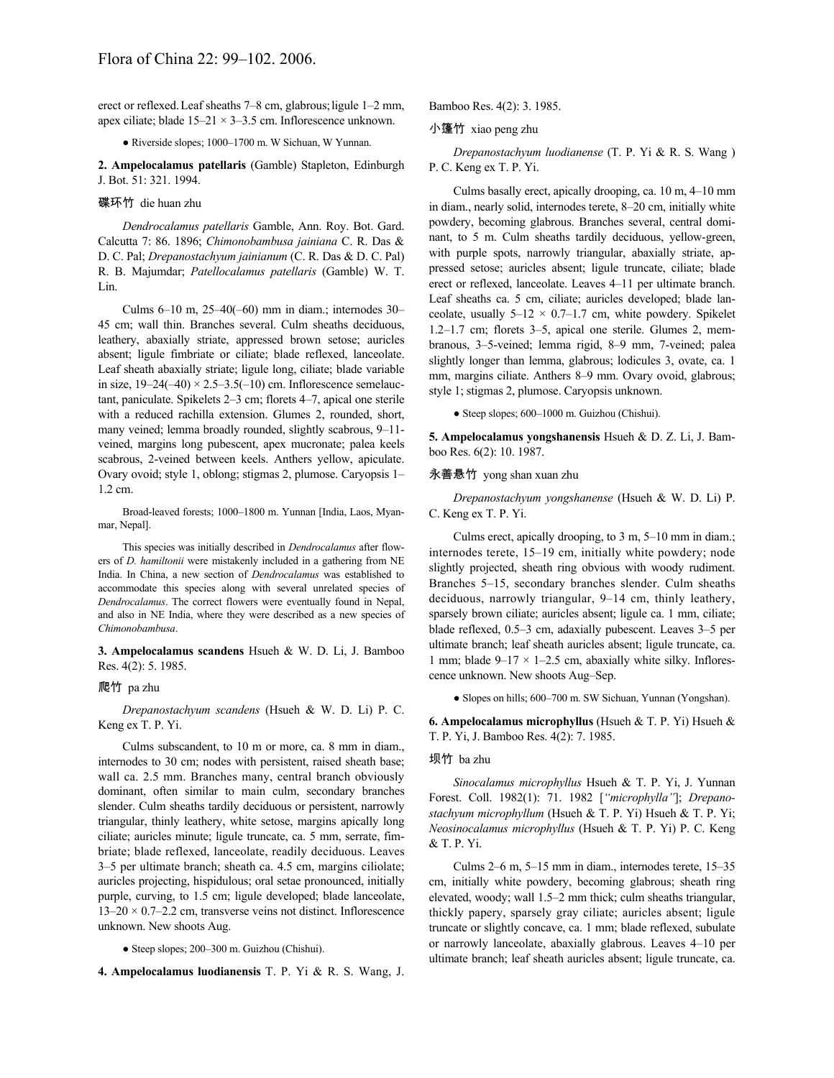erect or reflexed.Leaf sheaths 7–8 cm, glabrous;ligule 1–2 mm, apex ciliate; blade  $15-21 \times 3-3.5$  cm. Inflorescence unknown.

#### ● Riverside slopes; 1000–1700 m. W Sichuan, W Yunnan.

**2. Ampelocalamus patellaris** (Gamble) Stapleton, Edinburgh J. Bot. 51: 321. 1994.

#### 碟环竹 die huan zhu

*Dendrocalamus patellaris* Gamble, Ann. Roy. Bot. Gard. Calcutta 7: 86. 1896; *Chimonobambusa jainiana* C. R. Das & D. C. Pal; *Drepanostachyum jainianum* (C. R. Das & D. C. Pal) R. B. Majumdar; *Patellocalamus patellaris* (Gamble) W. T. Lin.

Culms 6–10 m, 25–40(–60) mm in diam.; internodes 30– 45 cm; wall thin. Branches several. Culm sheaths deciduous, leathery, abaxially striate, appressed brown setose; auricles absent; ligule fimbriate or ciliate; blade reflexed, lanceolate. Leaf sheath abaxially striate; ligule long, ciliate; blade variable in size,  $19-24(-40) \times 2.5-3.5(-10)$  cm. Inflorescence semelauctant, paniculate. Spikelets 2–3 cm; florets 4–7, apical one sterile with a reduced rachilla extension. Glumes 2, rounded, short, many veined; lemma broadly rounded, slightly scabrous, 9–11 veined, margins long pubescent, apex mucronate; palea keels scabrous, 2-veined between keels. Anthers yellow, apiculate. Ovary ovoid; style 1, oblong; stigmas 2, plumose. Caryopsis 1– 1.2 cm.

Broad-leaved forests; 1000–1800 m. Yunnan [India, Laos, Myanmar, Nepal].

This species was initially described in *Dendrocalamus* after flowers of *D. hamiltonii* were mistakenly included in a gathering from NE India. In China, a new section of *Dendrocalamus* was established to accommodate this species along with several unrelated species of *Dendrocalamus*. The correct flowers were eventually found in Nepal, and also in NE India, where they were described as a new species of *Chimonobambusa*.

**3. Ampelocalamus scandens** Hsueh & W. D. Li, J. Bamboo Res. 4(2): 5. 1985.

#### 爬竹 pa zhu

*Drepanostachyum scandens* (Hsueh & W. D. Li) P. C. Keng ex T. P. Yi.

Culms subscandent, to 10 m or more, ca. 8 mm in diam., internodes to 30 cm; nodes with persistent, raised sheath base; wall ca. 2.5 mm. Branches many, central branch obviously dominant, often similar to main culm, secondary branches slender. Culm sheaths tardily deciduous or persistent, narrowly triangular, thinly leathery, white setose, margins apically long ciliate; auricles minute; ligule truncate, ca. 5 mm, serrate, fimbriate; blade reflexed, lanceolate, readily deciduous. Leaves 3–5 per ultimate branch; sheath ca. 4.5 cm, margins ciliolate; auricles projecting, hispidulous; oral setae pronounced, initially purple, curving, to 1.5 cm; ligule developed; blade lanceolate,  $13-20 \times 0.7-2.2$  cm, transverse veins not distinct. Inflorescence unknown. New shoots Aug.

● Steep slopes; 200–300 m. Guizhou (Chishui).

**4. Ampelocalamus luodianensis** T. P. Yi & R. S. Wang, J.

Bamboo Res. 4(2): 3. 1985.

# 小篷竹 xiao peng zhu

*Drepanostachyum luodianense* (T. P. Yi & R. S. Wang ) P. C. Keng ex T. P. Yi.

Culms basally erect, apically drooping, ca. 10 m, 4–10 mm in diam., nearly solid, internodes terete, 8–20 cm, initially white powdery, becoming glabrous. Branches several, central dominant, to 5 m. Culm sheaths tardily deciduous, yellow-green, with purple spots, narrowly triangular, abaxially striate, appressed setose; auricles absent; ligule truncate, ciliate; blade erect or reflexed, lanceolate. Leaves 4–11 per ultimate branch. Leaf sheaths ca. 5 cm, ciliate; auricles developed; blade lanceolate, usually  $5-12 \times 0.7-1.7$  cm, white powdery. Spikelet 1.2–1.7 cm; florets 3–5, apical one sterile. Glumes 2, membranous, 3–5-veined; lemma rigid, 8–9 mm, 7-veined; palea slightly longer than lemma, glabrous; lodicules 3, ovate, ca. 1 mm, margins ciliate. Anthers 8–9 mm. Ovary ovoid, glabrous; style 1; stigmas 2, plumose. Caryopsis unknown.

● Steep slopes; 600–1000 m. Guizhou (Chishui).

**5. Ampelocalamus yongshanensis** Hsueh & D. Z. Li, J. Bamboo Res. 6(2): 10. 1987.

### 永善悬竹 yong shan xuan zhu

*Drepanostachyum yongshanense* (Hsueh & W. D. Li) P. C. Keng ex T. P. Yi.

Culms erect, apically drooping, to 3 m, 5–10 mm in diam.; internodes terete, 15–19 cm, initially white powdery; node slightly projected, sheath ring obvious with woody rudiment. Branches 5–15, secondary branches slender. Culm sheaths deciduous, narrowly triangular, 9–14 cm, thinly leathery, sparsely brown ciliate; auricles absent; ligule ca. 1 mm, ciliate; blade reflexed, 0.5–3 cm, adaxially pubescent. Leaves 3–5 per ultimate branch; leaf sheath auricles absent; ligule truncate, ca. 1 mm; blade  $9-17 \times 1-2.5$  cm, abaxially white silky. Inflorescence unknown. New shoots Aug–Sep.

• Slopes on hills; 600–700 m. SW Sichuan, Yunnan (Yongshan).

**6. Ampelocalamus microphyllus** (Hsueh & T. P. Yi) Hsueh & T. P. Yi, J. Bamboo Res. 4(2): 7. 1985.

## 坝竹 ba zhu

*Sinocalamus microphyllus* Hsueh & T. P. Yi, J. Yunnan Forest. Coll. 1982(1): 71. 1982 [*"microphylla"*]; *Drepanostachyum microphyllum* (Hsueh & T. P. Yi) Hsueh & T. P. Yi; *Neosinocalamus microphyllus* (Hsueh & T. P. Yi) P. C. Keng & T. P. Yi.

Culms 2–6 m, 5–15 mm in diam., internodes terete, 15–35 cm, initially white powdery, becoming glabrous; sheath ring elevated, woody; wall 1.5–2 mm thick; culm sheaths triangular, thickly papery, sparsely gray ciliate; auricles absent; ligule truncate or slightly concave, ca. 1 mm; blade reflexed, subulate or narrowly lanceolate, abaxially glabrous. Leaves 4–10 per ultimate branch; leaf sheath auricles absent; ligule truncate, ca.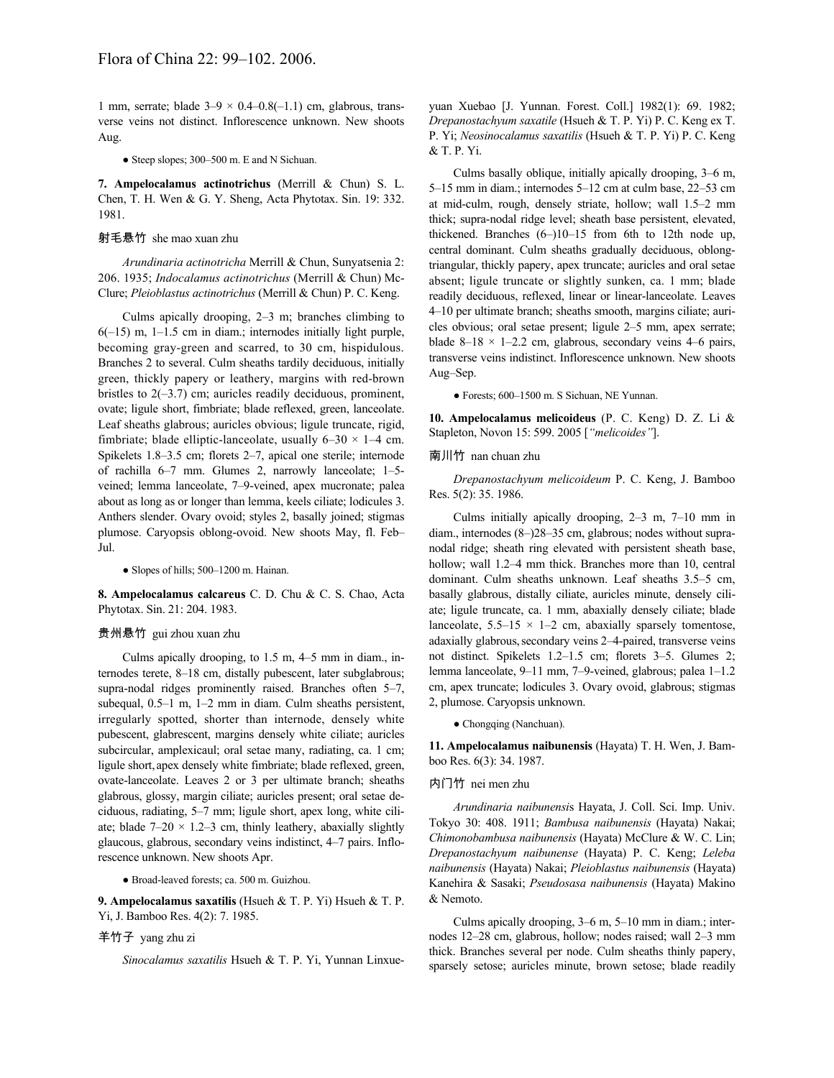1 mm, serrate; blade  $3-9 \times 0.4-0.8(-1.1)$  cm, glabrous, transverse veins not distinct. Inflorescence unknown. New shoots Aug.

• Steep slopes; 300–500 m. E and N Sichuan.

**7. Ampelocalamus actinotrichus** (Merrill & Chun) S. L. Chen, T. H. Wen & G. Y. Sheng, Acta Phytotax. Sin. 19: 332. 1981.

# 射毛悬竹 she mao xuan zhu

*Arundinaria actinotricha* Merrill & Chun, Sunyatsenia 2: 206. 1935; *Indocalamus actinotrichus* (Merrill & Chun) Mc-Clure; *Pleioblastus actinotrichus* (Merrill & Chun) P. C. Keng.

Culms apically drooping, 2–3 m; branches climbing to  $6(-15)$  m,  $1-1.5$  cm in diam.; internodes initially light purple, becoming gray-green and scarred, to 30 cm, hispidulous. Branches 2 to several. Culm sheaths tardily deciduous, initially green, thickly papery or leathery, margins with red-brown bristles to  $2(-3.7)$  cm; auricles readily deciduous, prominent, ovate; ligule short, fimbriate; blade reflexed, green, lanceolate. Leaf sheaths glabrous; auricles obvious; ligule truncate, rigid, fimbriate; blade elliptic-lanceolate, usually  $6-30 \times 1-4$  cm. Spikelets 1.8–3.5 cm; florets 2–7, apical one sterile; internode of rachilla 6–7 mm. Glumes 2, narrowly lanceolate; 1–5 veined; lemma lanceolate, 7–9-veined, apex mucronate; palea about as long as or longer than lemma, keels ciliate; lodicules 3. Anthers slender. Ovary ovoid; styles 2, basally joined; stigmas plumose. Caryopsis oblong-ovoid. New shoots May, fl. Feb– Jul.

● Slopes of hills; 500–1200 m. Hainan.

**8. Ampelocalamus calcareus** C. D. Chu & C. S. Chao, Acta Phytotax. Sin. 21: 204. 1983.

#### 贵州悬竹 gui zhou xuan zhu

Culms apically drooping, to 1.5 m, 4–5 mm in diam., internodes terete, 8–18 cm, distally pubescent, later subglabrous; supra-nodal ridges prominently raised. Branches often 5–7, subequal, 0.5–1 m, 1–2 mm in diam. Culm sheaths persistent, irregularly spotted, shorter than internode, densely white pubescent, glabrescent, margins densely white ciliate; auricles subcircular, amplexicaul; oral setae many, radiating, ca. 1 cm; ligule short, apex densely white fimbriate; blade reflexed, green, ovate-lanceolate. Leaves 2 or 3 per ultimate branch; sheaths glabrous, glossy, margin ciliate; auricles present; oral setae deciduous, radiating, 5–7 mm; ligule short, apex long, white ciliate; blade  $7-20 \times 1.2-3$  cm, thinly leathery, abaxially slightly glaucous, glabrous, secondary veins indistinct, 4–7 pairs. Inflorescence unknown. New shoots Apr.

● Broad-leaved forests; ca. 500 m. Guizhou.

**9. Ampelocalamus saxatilis** (Hsueh & T. P. Yi) Hsueh & T. P. Yi, J. Bamboo Res. 4(2): 7. 1985.

# 羊竹子 yang zhu zi

*Sinocalamus saxatilis* Hsueh & T. P. Yi, Yunnan Linxue-

yuan Xuebao [J. Yunnan. Forest. Coll.] 1982(1): 69. 1982; *Drepanostachyum saxatile* (Hsueh & T. P. Yi) P. C. Keng ex T. P. Yi; *Neosinocalamus saxatilis* (Hsueh & T. P. Yi) P. C. Keng & T. P. Yi.

Culms basally oblique, initially apically drooping, 3–6 m, 5–15 mm in diam.; internodes 5–12 cm at culm base, 22–53 cm at mid-culm, rough, densely striate, hollow; wall 1.5–2 mm thick; supra-nodal ridge level; sheath base persistent, elevated, thickened. Branches (6–)10–15 from 6th to 12th node up, central dominant. Culm sheaths gradually deciduous, oblongtriangular, thickly papery, apex truncate; auricles and oral setae absent; ligule truncate or slightly sunken, ca. 1 mm; blade readily deciduous, reflexed, linear or linear-lanceolate. Leaves 4–10 per ultimate branch; sheaths smooth, margins ciliate; auricles obvious; oral setae present; ligule 2–5 mm, apex serrate; blade  $8-18 \times 1-2.2$  cm, glabrous, secondary veins 4–6 pairs, transverse veins indistinct. Inflorescence unknown. New shoots Aug–Sep.

● Forests; 600–1500 m. S Sichuan, NE Yunnan.

**10. Ampelocalamus melicoideus** (P. C. Keng) D. Z. Li & Stapleton, Novon 15: 599. 2005 [*"melicoides"*].

### 南川竹 nan chuan zhu

*Drepanostachyum melicoideum* P. C. Keng, J. Bamboo Res. 5(2): 35. 1986.

Culms initially apically drooping, 2–3 m, 7–10 mm in diam., internodes (8–)28–35 cm, glabrous; nodes without supranodal ridge; sheath ring elevated with persistent sheath base, hollow; wall 1.2–4 mm thick. Branches more than 10, central dominant. Culm sheaths unknown. Leaf sheaths 3.5–5 cm, basally glabrous, distally ciliate, auricles minute, densely ciliate; ligule truncate, ca. 1 mm, abaxially densely ciliate; blade lanceolate,  $5.5-15 \times 1-2$  cm, abaxially sparsely tomentose, adaxially glabrous, secondary veins 2-4-paired, transverse veins not distinct. Spikelets 1.2–1.5 cm; florets 3–5. Glumes 2; lemma lanceolate, 9–11 mm, 7–9-veined, glabrous; palea 1–1.2 cm, apex truncate; lodicules 3. Ovary ovoid, glabrous; stigmas 2, plumose. Caryopsis unknown.

#### ● Chongqing (Nanchuan).

**11. Ampelocalamus naibunensis** (Hayata) T. H. Wen, J. Bamboo Res. 6(3): 34. 1987.

### 内门竹 nei men zhu

*Arundinaria naibunensi*s Hayata, J. Coll. Sci. Imp. Univ. Tokyo 30: 408. 1911; *Bambusa naibunensis* (Hayata) Nakai; *Chimonobambusa naibunensis* (Hayata) McClure & W. C. Lin; *Drepanostachyum naibunense* (Hayata) P. C. Keng; *Leleba naibunensis* (Hayata) Nakai; *Pleioblastus naibunensis* (Hayata) Kanehira & Sasaki; *Pseudosasa naibunensis* (Hayata) Makino & Nemoto.

Culms apically drooping, 3–6 m, 5–10 mm in diam.; internodes 12–28 cm, glabrous, hollow; nodes raised; wall 2–3 mm thick. Branches several per node. Culm sheaths thinly papery, sparsely setose; auricles minute, brown setose; blade readily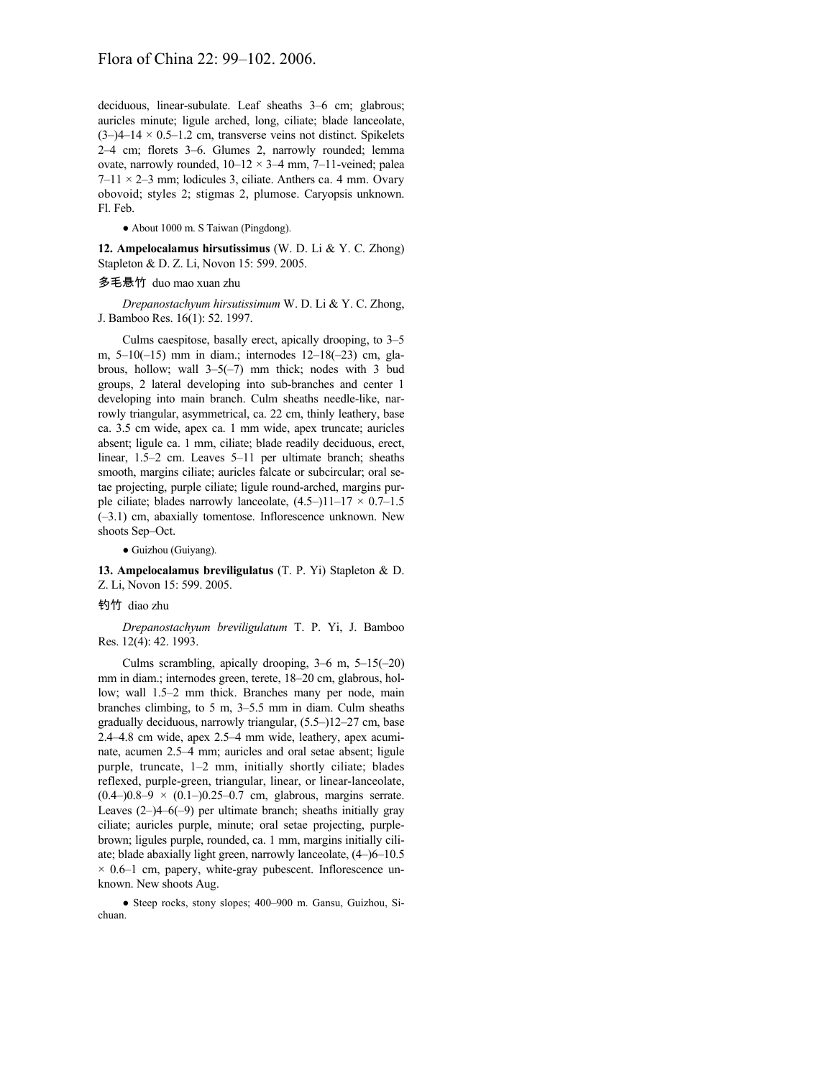deciduous, linear-subulate. Leaf sheaths 3–6 cm; glabrous; auricles minute; ligule arched, long, ciliate; blade lanceolate,  $(3-)4-14 \times 0.5-1.2$  cm, transverse veins not distinct. Spikelets 2–4 cm; florets 3–6. Glumes 2, narrowly rounded; lemma ovate, narrowly rounded,  $10-12 \times 3-4$  mm, 7-11-veined; palea  $7-11 \times 2-3$  mm; lodicules 3, ciliate. Anthers ca. 4 mm. Ovary obovoid; styles 2; stigmas 2, plumose. Caryopsis unknown. Fl. Feb.

● About 1000 m. S Taiwan (Pingdong).

**12. Ampelocalamus hirsutissimus** (W. D. Li & Y. C. Zhong) Stapleton & D. Z. Li, Novon 15: 599. 2005.

## 多毛悬竹 duo mao xuan zhu

*Drepanostachyum hirsutissimum* W. D. Li & Y. C. Zhong, J. Bamboo Res. 16(1): 52. 1997.

Culms caespitose, basally erect, apically drooping, to 3–5 m, 5–10(–15) mm in diam.; internodes 12–18(–23) cm, glabrous, hollow; wall 3–5(–7) mm thick; nodes with 3 bud groups, 2 lateral developing into sub-branches and center 1 developing into main branch. Culm sheaths needle-like, narrowly triangular, asymmetrical, ca. 22 cm, thinly leathery, base ca. 3.5 cm wide, apex ca. 1 mm wide, apex truncate; auricles absent; ligule ca. 1 mm, ciliate; blade readily deciduous, erect, linear, 1.5–2 cm. Leaves 5–11 per ultimate branch; sheaths smooth, margins ciliate; auricles falcate or subcircular; oral setae projecting, purple ciliate; ligule round-arched, margins purple ciliate; blades narrowly lanceolate,  $(4.5-)11-17 \times 0.7-1.5$ (–3.1) cm, abaxially tomentose. Inflorescence unknown. New shoots Sep–Oct.

● Guizhou (Guiyang).

**13. Ampelocalamus breviligulatus** (T. P. Yi) Stapleton & D. Z. Li, Novon 15: 599. 2005.

# 钓竹 diao zhu

*Drepanostachyum breviligulatum* T. P. Yi, J. Bamboo Res. 12(4): 42. 1993.

Culms scrambling, apically drooping,  $3-6$  m,  $5-15(-20)$ mm in diam.; internodes green, terete, 18–20 cm, glabrous, hollow; wall 1.5–2 mm thick. Branches many per node, main branches climbing, to 5 m, 3–5.5 mm in diam. Culm sheaths gradually deciduous, narrowly triangular, (5.5–)12–27 cm, base 2.4–4.8 cm wide, apex 2.5–4 mm wide, leathery, apex acuminate, acumen 2.5–4 mm; auricles and oral setae absent; ligule purple, truncate, 1–2 mm, initially shortly ciliate; blades reflexed, purple-green, triangular, linear, or linear-lanceolate,  $(0.4-)0.8-9 \times (0.1-)0.25-0.7$  cm, glabrous, margins serrate. Leaves  $(2-)4-6(-9)$  per ultimate branch; sheaths initially gray ciliate; auricles purple, minute; oral setae projecting, purplebrown; ligules purple, rounded, ca. 1 mm, margins initially ciliate; blade abaxially light green, narrowly lanceolate, (4–)6–10.5  $\times$  0.6–1 cm, papery, white-gray pubescent. Inflorescence unknown. New shoots Aug.

● Steep rocks, stony slopes; 400–900 m. Gansu, Guizhou, Sichuan.